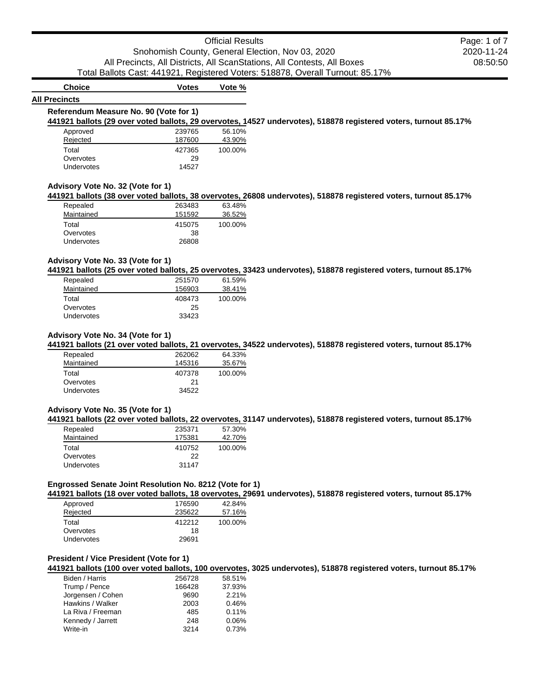# **All Precincts**

**Choice Votes Vote %**

## **Referendum Measure No. 90 (Vote for 1)**

**441921 ballots (29 over voted ballots, 29 overvotes, 14527 undervotes), 518878 registered voters, turnout 85.17%**

| Approved          | 239765 | 56.10%  |
|-------------------|--------|---------|
| Rejected          | 187600 | 43.90%  |
| Total             | 427365 | 100.00% |
| Overvotes         | 29     |         |
| <b>Undervotes</b> | 14527  |         |

### **Advisory Vote No. 32 (Vote for 1)**

**441921 ballots (38 over voted ballots, 38 overvotes, 26808 undervotes), 518878 registered voters, turnout 85.17%**

| Repealed   | 263483 | 63.48%  |
|------------|--------|---------|
| Maintained | 151592 | 36.52%  |
| Total      | 415075 | 100.00% |
| Overvotes  | 38     |         |
| Undervotes | 26808  |         |

### **Advisory Vote No. 33 (Vote for 1)**

**441921 ballots (25 over voted ballots, 25 overvotes, 33423 undervotes), 518878 registered voters, turnout 85.17%**

| Repealed          | 251570 | 61.59%  |
|-------------------|--------|---------|
| Maintained        | 156903 | 38.41%  |
| Total             | 408473 | 100.00% |
| Overvotes         | 25     |         |
| <b>Undervotes</b> | 33423  |         |

### **Advisory Vote No. 34 (Vote for 1)**

**441921 ballots (21 over voted ballots, 21 overvotes, 34522 undervotes), 518878 registered voters, turnout 85.17%**

| Repealed          | 262062 | 64.33%  |
|-------------------|--------|---------|
| Maintained        | 145316 | 35.67%  |
| Total             | 407378 | 100.00% |
| Overvotes         | 21     |         |
| <b>Undervotes</b> | 34522  |         |

### **Advisory Vote No. 35 (Vote for 1)**

**441921 ballots (22 over voted ballots, 22 overvotes, 31147 undervotes), 518878 registered voters, turnout 85.17%**

| 235371 | 57.30%  |
|--------|---------|
| 175381 | 42.70%  |
| 410752 | 100.00% |
| 22     |         |
| 31147  |         |
|        |         |

### **Engrossed Senate Joint Resolution No. 8212 (Vote for 1)**

**441921 ballots (18 over voted ballots, 18 overvotes, 29691 undervotes), 518878 registered voters, turnout 85.17%**

| Approved   | 176590 | 42.84%  |
|------------|--------|---------|
| Rejected   | 235622 | 57.16%  |
| Total      | 412212 | 100.00% |
| Overvotes  | 18     |         |
| Undervotes | 29691  |         |

### **President / Vice President (Vote for 1)**

**441921 ballots (100 over voted ballots, 100 overvotes, 3025 undervotes), 518878 registered voters, turnout 85.17%**

| Biden / Harris    | 256728 | 58.51% |
|-------------------|--------|--------|
| Trump / Pence     | 166428 | 37.93% |
| Jorgensen / Cohen | 9690   | 2.21%  |
| Hawkins / Walker  | 2003   | 0.46%  |
| La Riva / Freeman | 485    | 0.11%  |
| Kennedy / Jarrett | 248    | 0.06%  |
| Write-in          | 3214   | 0.73%  |
|                   |        |        |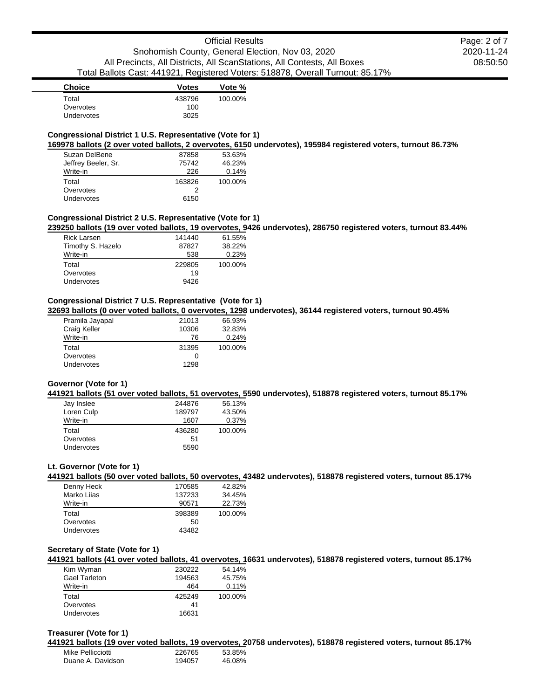| <b>Choice</b> | <b>Votes</b> | Vote %  |
|---------------|--------------|---------|
| Total         | 438796       | 100.00% |
| Overvotes     | 100          |         |
| Undervotes    | 3025         |         |
|               |              |         |

### **Congressional District 1 U.S. Representative (Vote for 1)**

**169978 ballots (2 over voted ballots, 2 overvotes, 6150 undervotes), 195984 registered voters, turnout 86.73%**

| Suzan DelBene       | 87858  | 53.63%  |
|---------------------|--------|---------|
| Jeffrey Beeler, Sr. | 75742  | 46.23%  |
| Write-in            | 226    | 0.14%   |
| Total               | 163826 | 100.00% |
| Overvotes           | 2      |         |
| Undervotes          | 6150   |         |

### **Congressional District 2 U.S. Representative (Vote for 1)**

**239250 ballots (19 over voted ballots, 19 overvotes, 9426 undervotes), 286750 registered voters, turnout 83.44%**

| <b>Rick Larsen</b> | 141440 | 61.55%  |
|--------------------|--------|---------|
| Timothy S. Hazelo  | 87827  | 38.22%  |
| Write-in           | 538    | 0.23%   |
| Total              | 229805 | 100.00% |
| Overvotes          | 19     |         |
| Undervotes         | 9426   |         |

### **Congressional District 7 U.S. Representative (Vote for 1)**

**32693 ballots (0 over voted ballots, 0 overvotes, 1298 undervotes), 36144 registered voters, turnout 90.45%**

| Pramila Jayapal | 21013 | 66.93%  |
|-----------------|-------|---------|
| Craig Keller    | 10306 | 32.83%  |
| Write-in        | 76    | 0.24%   |
| Total           | 31395 | 100.00% |
| Overvotes       | 0     |         |
| Undervotes      | 1298  |         |

### **Governor (Vote for 1)**

**441921 ballots (51 over voted ballots, 51 overvotes, 5590 undervotes), 518878 registered voters, turnout 85.17%**

| Jay Inslee        | 244876 | 56.13%  |
|-------------------|--------|---------|
| Loren Culp        | 189797 | 43.50%  |
| Write-in          | 1607   | 0.37%   |
| Total             | 436280 | 100.00% |
| Overvotes         | 51     |         |
| <b>Undervotes</b> | 5590   |         |

### **Lt. Governor (Vote for 1)**

**441921 ballots (50 over voted ballots, 50 overvotes, 43482 undervotes), 518878 registered voters, turnout 85.17%**

| Denny Heck  | 170585 | 42.82%  |
|-------------|--------|---------|
| Marko Lijas | 137233 | 34.45%  |
| Write-in    | 90571  | 22.73%  |
| Total       | 398389 | 100.00% |
| Overvotes   | 50     |         |
| Undervotes  | 43482  |         |

#### **Secretary of State (Vote for 1)**

**441921 ballots (41 over voted ballots, 41 overvotes, 16631 undervotes), 518878 registered voters, turnout 85.17%**

| Kim Wyman            | 230222 | 54.14%  |
|----------------------|--------|---------|
| <b>Gael Tarleton</b> | 194563 | 45.75%  |
| Write-in             | 464    | 0.11%   |
| Total                | 425249 | 100.00% |
| Overvotes            | 41     |         |
| <b>Undervotes</b>    | 16631  |         |
|                      |        |         |

#### **Treasurer (Vote for 1)**

**441921 ballots (19 over voted ballots, 19 overvotes, 20758 undervotes), 518878 registered voters, turnout 85.17%**

| Mike Pellicciotti | 226765 | 53.85% |
|-------------------|--------|--------|
| Duane A. Davidson | 194057 | 46.08% |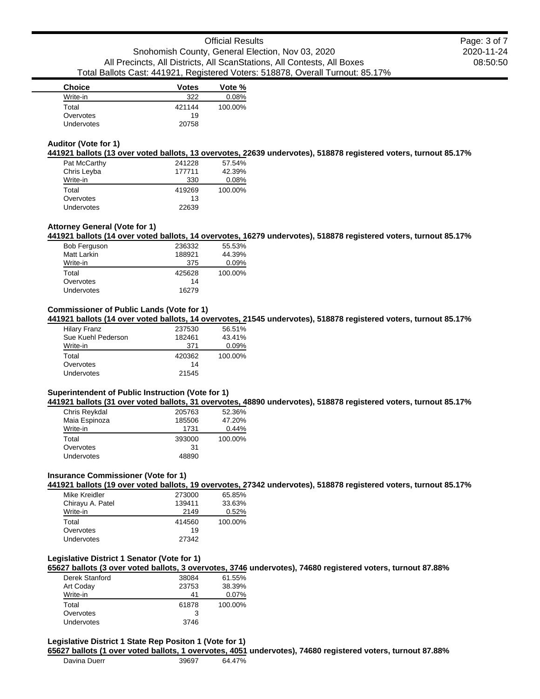| <b>Choice</b>     | <b>Votes</b> | Vote %  |
|-------------------|--------------|---------|
| Write-in          | 322          | 0.08%   |
| Total             | 421144       | 100.00% |
| Overvotes         | 19           |         |
| <b>Undervotes</b> | 20758        |         |

#### **Auditor (Vote for 1)**

**441921 ballots (13 over voted ballots, 13 overvotes, 22639 undervotes), 518878 registered voters, turnout 85.17%**

| Pat McCarthy      | 241228 | 57.54%  |
|-------------------|--------|---------|
| Chris Leyba       | 177711 | 42.39%  |
| Write-in          | 330    | 0.08%   |
| Total             | 419269 | 100.00% |
| Overvotes         | 13     |         |
| <b>Undervotes</b> | 22639  |         |

#### **Attorney General (Vote for 1)**

**441921 ballots (14 over voted ballots, 14 overvotes, 16279 undervotes), 518878 registered voters, turnout 85.17%**

| <b>Bob Ferguson</b> | 236332 | 55.53%   |
|---------------------|--------|----------|
| Matt Larkin         | 188921 | 44.39%   |
| Write-in            | 375    | $0.09\%$ |
| Total               | 425628 | 100.00%  |
| Overvotes           | 14     |          |
| Undervotes          | 16279  |          |

### **Commissioner of Public Lands (Vote for 1)**

**441921 ballots (14 over voted ballots, 14 overvotes, 21545 undervotes), 518878 registered voters, turnout 85.17%**

| <b>Hilary Franz</b> | 237530 | 56.51%  |
|---------------------|--------|---------|
| Sue Kuehl Pederson  | 182461 | 43.41%  |
| Write-in            | 371    | 0.09%   |
| Total               | 420362 | 100.00% |
| Overvotes           | 14     |         |
| Undervotes          | 21545  |         |

### **Superintendent of Public Instruction (Vote for 1)**

**441921 ballots (31 over voted ballots, 31 overvotes, 48890 undervotes), 518878 registered voters, turnout 85.17%**

| Chris Reykdal     | 205763 | 52.36%  |
|-------------------|--------|---------|
| Maia Espinoza     | 185506 | 47.20%  |
| Write-in          | 1731   | 0.44%   |
| Total             | 393000 | 100.00% |
| Overvotes         | 31     |         |
| <b>Undervotes</b> | 48890  |         |

### **Insurance Commissioner (Vote for 1)**

**441921 ballots (19 over voted ballots, 19 overvotes, 27342 undervotes), 518878 registered voters, turnout 85.17%**

| Mike Kreidler     | 273000 | 65.85%  |
|-------------------|--------|---------|
| Chirayu A. Patel  | 139411 | 33.63%  |
| Write-in          | 2149   | 0.52%   |
| Total             | 414560 | 100.00% |
| Overvotes         | 19     |         |
| <b>Undervotes</b> | 27342  |         |

### **Legislative District 1 Senator (Vote for 1)**

**65627 ballots (3 over voted ballots, 3 overvotes, 3746 undervotes), 74680 registered voters, turnout 87.88%**

| Derek Stanford    | 38084 | 61.55%  |
|-------------------|-------|---------|
| Art Coday         | 23753 | 38.39%  |
| Write-in          | 41    | 0.07%   |
| Total             | 61878 | 100.00% |
| Overvotes         |       |         |
| <b>Undervotes</b> | 3746  |         |

# **Legislative District 1 State Rep Positon 1 (Vote for 1)**

**65627 ballots (1 over voted ballots, 1 overvotes, 4051 undervotes), 74680 registered voters, turnout 87.88%**

| Davina Duerr | 39697 | 64.47% |
|--------------|-------|--------|
|              |       |        |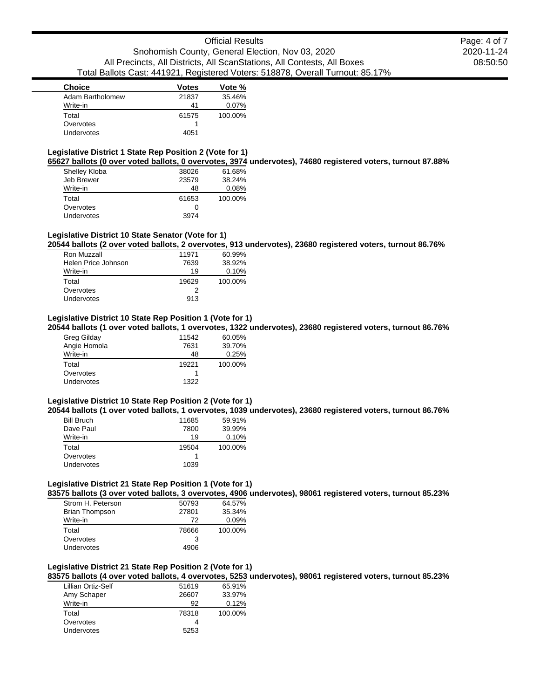| <b>Choice</b>     | <b>Votes</b> | Vote %  |
|-------------------|--------------|---------|
| Adam Bartholomew  | 21837        | 35.46%  |
| Write-in          | 41           | 0.07%   |
| Total             | 61575        | 100.00% |
| Overvotes         |              |         |
| <b>Undervotes</b> | 4051         |         |

### **Legislative District 1 State Rep Position 2 (Vote for 1)**

**65627 ballots (0 over voted ballots, 0 overvotes, 3974 undervotes), 74680 registered voters, turnout 87.88%**

| Shelley Kloba | 38026 | 61.68%  |
|---------------|-------|---------|
| Jeb Brewer    | 23579 | 38.24%  |
| Write-in      | 48    | 0.08%   |
| Total         | 61653 | 100.00% |
| Overvotes     | Ω     |         |
| Undervotes    | 3974  |         |

### **Legislative District 10 State Senator (Vote for 1)**

**20544 ballots (2 over voted ballots, 2 overvotes, 913 undervotes), 23680 registered voters, turnout 86.76%**

| 11971 | 60.99%  |
|-------|---------|
| 7639  | 38.92%  |
| 19    | 0.10%   |
| 19629 | 100.00% |
| 2     |         |
| 913   |         |
|       |         |

### **Legislative District 10 State Rep Position 1 (Vote for 1)**

**20544 ballots (1 over voted ballots, 1 overvotes, 1322 undervotes), 23680 registered voters, turnout 86.76%**

| Greg Gilday  | 11542 | 60.05%  |
|--------------|-------|---------|
| Angie Homola | 7631  | 39.70%  |
| Write-in     | 48    | 0.25%   |
| Total        | 19221 | 100.00% |
| Overvotes    |       |         |
| Undervotes   | 1322  |         |

### **Legislative District 10 State Rep Position 2 (Vote for 1)**

**20544 ballots (1 over voted ballots, 1 overvotes, 1039 undervotes), 23680 registered voters, turnout 86.76%**

| <b>Bill Bruch</b> | 11685 | 59.91%  |
|-------------------|-------|---------|
| Dave Paul         | 7800  | 39.99%  |
| Write-in          | 19    | 0.10%   |
| Total             | 19504 | 100.00% |
| Overvotes         |       |         |
| <b>Undervotes</b> | 1039  |         |

#### **Legislative District 21 State Rep Position 1 (Vote for 1)**

**83575 ballots (3 over voted ballots, 3 overvotes, 4906 undervotes), 98061 registered voters, turnout 85.23%**

| Strom H. Peterson     | 50793 | 64.57%  |
|-----------------------|-------|---------|
| <b>Brian Thompson</b> | 27801 | 35.34%  |
| Write-in              | 72    | 0.09%   |
| Total                 | 78666 | 100.00% |
| Overvotes             | 3     |         |
| Undervotes            | 4906  |         |

# **Legislative District 21 State Rep Position 2 (Vote for 1)**

**83575 ballots (4 over voted ballots, 4 overvotes, 5253 undervotes), 98061 registered voters, turnout 85.23%**

| Lillian Ortiz-Self | 51619 | 65.91%  |
|--------------------|-------|---------|
| Amy Schaper        | 26607 | 33.97%  |
| Write-in           | 92    | 0.12%   |
| Total              | 78318 | 100.00% |
| Overvotes          |       |         |
| <b>Undervotes</b>  | 5253  |         |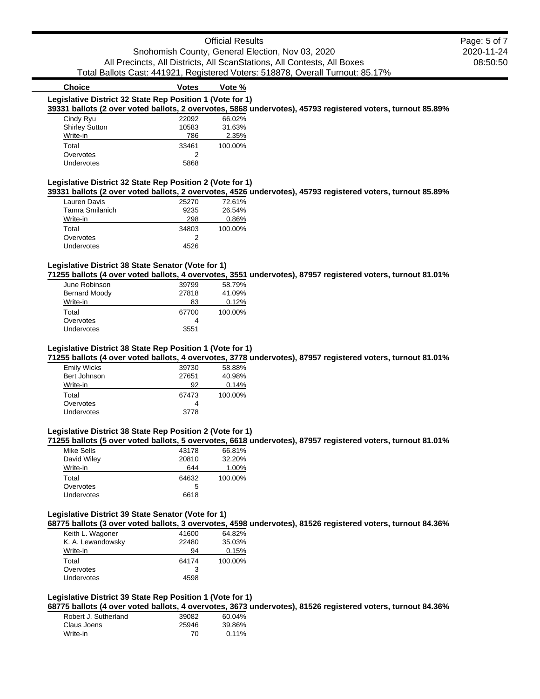# Official Results Snohomish County, General Election, Nov 03, 2020 All Precincts, All Districts, All ScanStations, All Contests, All Boxes Total Ballots Cast: 441921, Registered Voters: 518878, Overall Turnout: 85.17%

### **Choice Votes Vote % Legislative District 32 State Rep Position 1 (Vote for 1) 39331 ballots (2 over voted ballots, 2 overvotes, 5868 undervotes), 45793 registered voters, turnout 85.89%** Cindy Ryu 22092 66.02% Shirley Sutton 10583 31.63%<br>
Write-in 2.35% 786 2.35% Write-in 786 2.35% Total 33461 100.00% Overvotes 2 Undervotes 5868

#### **Legislative District 32 State Rep Position 2 (Vote for 1)**

**39331 ballots (2 over voted ballots, 2 overvotes, 4526 undervotes), 45793 registered voters, turnout 85.89%**

| Lauren Davis    | 25270 | 72.61%  |
|-----------------|-------|---------|
| Tamra Smilanich | 9235  | 26.54%  |
| Write-in        | 298   | 0.86%   |
| Total           | 34803 | 100.00% |
| Overvotes       |       |         |
| Undervotes      | 4526  |         |
|                 |       |         |

### **Legislative District 38 State Senator (Vote for 1)**

**71255 ballots (4 over voted ballots, 4 overvotes, 3551 undervotes), 87957 registered voters, turnout 81.01%**

| June Robinson        | 39799 | 58.79%  |
|----------------------|-------|---------|
| <b>Bernard Moody</b> | 27818 | 41.09%  |
| Write-in             | 83    | 0.12%   |
| Total                | 67700 | 100.00% |
| Overvotes            | 4     |         |
| Undervotes           | 3551  |         |

### **Legislative District 38 State Rep Position 1 (Vote for 1)**

**71255 ballots (4 over voted ballots, 4 overvotes, 3778 undervotes), 87957 registered voters, turnout 81.01%**

| <b>Emily Wicks</b> | 39730 | 58.88%  |
|--------------------|-------|---------|
| Bert Johnson       | 27651 | 40.98%  |
| Write-in           | 92    | 0.14%   |
| Total              | 67473 | 100.00% |
| Overvotes          | 4     |         |
| <b>Undervotes</b>  | 3778  |         |

### **Legislative District 38 State Rep Position 2 (Vote for 1)**

**71255 ballots (5 over voted ballots, 5 overvotes, 6618 undervotes), 87957 registered voters, turnout 81.01%**

| Mike Sells        | 43178 | 66.81%  |
|-------------------|-------|---------|
| David Wiley       | 20810 | 32.20%  |
| Write-in          | 644   | 1.00%   |
| Total             | 64632 | 100.00% |
| Overvotes         | 5     |         |
| <b>Undervotes</b> | 6618  |         |
|                   |       |         |

### **Legislative District 39 State Senator (Vote for 1)**

**68775 ballots (3 over voted ballots, 3 overvotes, 4598 undervotes), 81526 registered voters, turnout 84.36%**

| Keith L. Wagoner  | 41600 | 64.82%  |
|-------------------|-------|---------|
| K. A. Lewandowsky | 22480 | 35.03%  |
| Write-in          | 94    | 0.15%   |
| Total             | 64174 | 100.00% |
| Overvotes         | 3     |         |
| Undervotes        | 4598  |         |

### **Legislative District 39 State Rep Position 1 (Vote for 1)**

**68775 ballots (4 over voted ballots, 4 overvotes, 3673 undervotes), 81526 registered voters, turnout 84.36%**

| Robert J. Sutherland | 39082 | 60.04%   |
|----------------------|-------|----------|
| Claus Joens          | 25946 | 39.86%   |
| Write-in             | 70    | $0.11\%$ |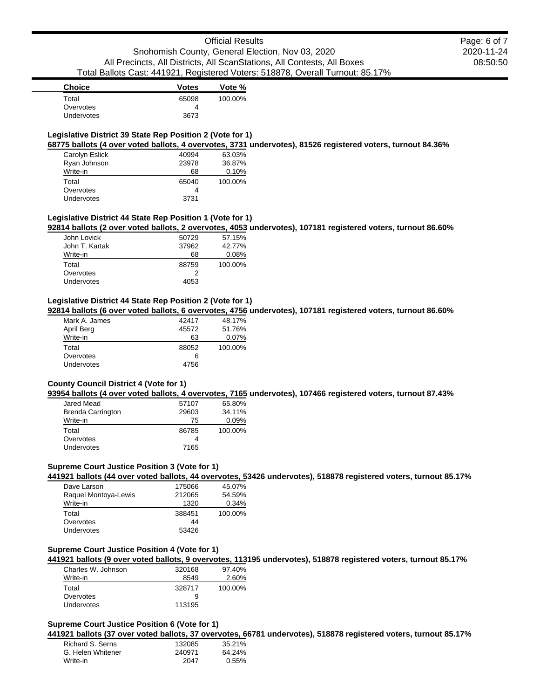| <b>Choice</b>     | <b>Votes</b> | Vote %  |
|-------------------|--------------|---------|
| Total             | 65098        | 100.00% |
| Overvotes         |              |         |
| <b>Undervotes</b> | 3673         |         |
|                   |              |         |

### **Legislative District 39 State Rep Position 2 (Vote for 1)**

**68775 ballots (4 over voted ballots, 4 overvotes, 3731 undervotes), 81526 registered voters, turnout 84.36%**

| Carolyn Eslick | 40994 | 63.03%  |
|----------------|-------|---------|
| Ryan Johnson   | 23978 | 36.87%  |
| Write-in       | 68    | 0.10%   |
|                |       |         |
| Total          | 65040 | 100.00% |
| Overvotes      | 4     |         |

### **Legislative District 44 State Rep Position 1 (Vote for 1)**

**92814 ballots (2 over voted ballots, 2 overvotes, 4053 undervotes), 107181 registered voters, turnout 86.60%**

| John Lovick    | 50729 | 57.15%  |
|----------------|-------|---------|
| John T. Kartak | 37962 | 42.77%  |
| Write-in       | 68    | 0.08%   |
| Total          | 88759 | 100.00% |
| Overvotes      |       |         |
| Undervotes     | 4053  |         |

#### **Legislative District 44 State Rep Position 2 (Vote for 1)**

**92814 ballots (6 over voted ballots, 6 overvotes, 4756 undervotes), 107181 registered voters, turnout 86.60%**

| Mark A. James | 42417 | 48.17%   |
|---------------|-------|----------|
| April Berg    | 45572 | 51.76%   |
| Write-in      | 63    | $0.07\%$ |
| Total         | 88052 | 100.00%  |
| Overvotes     | 6     |          |
| Undervotes    | 4756  |          |

### **County Council District 4 (Vote for 1)**

**93954 ballots (4 over voted ballots, 4 overvotes, 7165 undervotes), 107466 registered voters, turnout 87.43%**

| Jared Mead               | 57107 | 65.80%  |
|--------------------------|-------|---------|
| <b>Brenda Carrington</b> | 29603 | 34.11%  |
| Write-in                 | 75    | 0.09%   |
| Total                    | 86785 | 100.00% |
| Overvotes                |       |         |
| <b>Undervotes</b>        | 7165  |         |

## **Supreme Court Justice Position 3 (Vote for 1)**

**441921 ballots (44 over voted ballots, 44 overvotes, 53426 undervotes), 518878 registered voters, turnout 85.17%**

| Dave Larson          | 175066 | 45.07%  |
|----------------------|--------|---------|
| Raquel Montoya-Lewis | 212065 | 54.59%  |
| Write-in             | 1320   | 0.34%   |
| Total                | 388451 | 100.00% |
| Overvotes            | 44     |         |
| Undervotes           | 53426  |         |

#### **Supreme Court Justice Position 4 (Vote for 1)**

**441921 ballots (9 over voted ballots, 9 overvotes, 113195 undervotes), 518878 registered voters, turnout 85.17%**

| Charles W. Johnson | 320168 | 97.40%  |
|--------------------|--------|---------|
| Write-in           | 8549   | 2.60%   |
| Total              | 328717 | 100.00% |
| Overvotes          |        |         |
| <b>Undervotes</b>  | 113195 |         |

#### **Supreme Court Justice Position 6 (Vote for 1)**

**441921 ballots (37 over voted ballots, 37 overvotes, 66781 undervotes), 518878 registered voters, turnout 85.17%**

| Richard S. Serns  | 132085 | 35.21%   |
|-------------------|--------|----------|
| G. Helen Whitener | 240971 | 64.24%   |
| Write-in          | 2047   | $0.55\%$ |